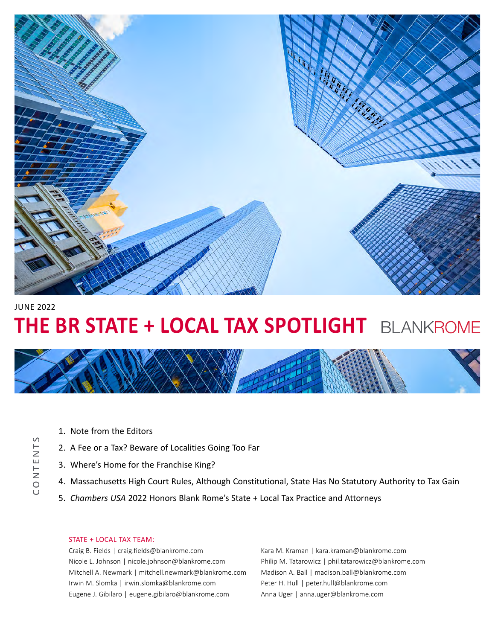

### JUNE 2022

CONTENTS

CONTENTS

# **THE BR STATE + LOCAL TAX SPOTLIGHT** BLANKROME



- [1. Note from the Editors](#page-1-0)
- [2. A Fee or a Tax? Beware of Localities Going Too Far](#page-2-0)
- [3. Where's Home for the Franchise King?](#page-3-0)
- [4. Massachusetts High Court Rules, Although Constitutional, State Has No Statutory Authority to Tax Gain](#page-4-0)
- 5. *Chambers USA* [2022 Honors Blank Rome's State + Local Tax Practice and Attorneys](#page-5-0)

#### STATE + LOCAL TAX TEAM:

[Craig B. Fields](https://www.blankrome.com/people/craig-b-fields) | craig.field[s@blankrome.com](mailto:craig.fields%40blankrome.com?subject=) [Nicole L. Johnson](https://www.blankrome.com/people/nicole-l-johnson) | nicole.johnson[@blankrome.com](mailto:nicole.johnson%40blankrome.com?subject=) [Mitchell A. Newmark](https://www.blankrome.com/people/mitchell-newmark) | mitchell.newmark[@blankrome.com](mailto:mitchell.newmark%40blankrome.com?subject=) [Irwin M. Slomka](https://www.blankrome.com/people/irwin-m-slomka) | irwin.slomka[@blankrome.com](mailto:irwin.slomka%40blankrome.com?subject=) [Eugene J. Gibilaro](https://www.blankrome.com/people/eugene-j-gibilaro) | eugene.gibilar[o@blankrome.com](mailto:eugene.gibilaro%40blankrome.com?subject=)

[Kara M. Kraman](https://www.blankrome.com/people/kara-m-kraman) | kara.kraman[@blankrome.com](mailto:kara.kraman%40blankrome.com?subject=) [Philip M. Tatarowicz](https://www.blankrome.com/people/philip-m-tatarowicz) | phil.tatarowicz[@blankrome.com](mailto:phil.tatarowicz%40blankrome.com?subject=) [Madison A. Ball](https://www.blankrome.com/people/madison-ball) | madison.ball@blankrome.com [Peter H. Hull](https://www.blankrome.com/people/peter-h-hull) | [peter.hull@blankrome.com](mailto:peter.hull%40blankrome.com?subject=) [Anna Uger](https://www.blankrome.com/people/anna-uger) | [anna.uger@blankrome.com](mailto:anna.uger%40blankrome.com?subject=)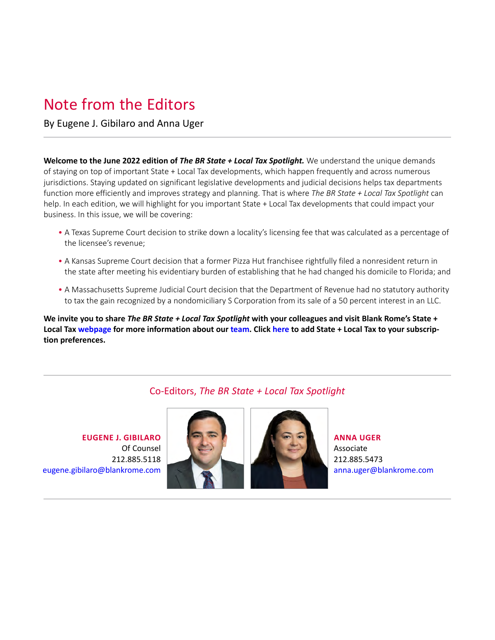## <span id="page-1-0"></span>Note from the Editors

By [Eugene J. Gibilaro](https://www.blankrome.com/people/eugene-j-gibilaro) and [Anna Uger](https://www.blankrome.com/people/anna-uger)

**Welcome to the June 2022 edition of** *The BR State + Local Tax Spotlight.* We understand the unique demands of staying on top of important State + Local Tax developments, which happen frequently and across numerous jurisdictions. Staying updated on significant legislative developments and judicial decisions helps tax departments function more efficiently and improves strategy and planning. That is where *The BR State + Local Tax Spotlight* can help. In each edition, we will highlight for you important State + Local Tax developments that could impact your business. In this issue, we will be covering:

- •   A Texas Supreme Court decision to strike down a locality's licensing fee that was calculated as a percentage of the licensee's revenue;
- •   A Kansas Supreme Court decision that a former Pizza Hut franchisee rightfully filed a nonresident return in the state after meeting his evidentiary burden of establishing that he had changed his domicile to Florida; and
- •   A Massachusetts Supreme Judicial Court decision that the Department of Revenue had no statutory authority to tax the gain recognized by a nondomiciliary S Corporation from its sale of a 50 percent interest in an LLC.

**We invite you to share** *The BR State + Local Tax Spotlight* **with your colleagues and visit Blank Rome's State + Local Tax [webpage](https://www.blankrome.com/services/tax/state-local-tax) for more information about our [team.](https://www.blankrome.com/services/tax/state-local-tax#team) Click [here](https://communications.blankrome.com/10/1143/landing-pages/preference-manager.asp?sid=blankform) to add State + Local Tax to your subscription preferences.**

### Co-Editors, *The BR State + Local Tax Spotlight*

**[EUGENE J. GIBILARO](https://www.blankrome.com/people/eugene-j-gibilaro)**  Of Counsel 212.885.5118 [eugene.gibilaro@blankrome.com](mailto:eugene.gibilaro%40blankrome.com?subject=)





**[ANNA UGER](https://www.blankrome.com/people/anna-uger)** Associate 212.885.5473 anna.uger[@blankrome.com](mailto:anna.uger%40blankrome.com?subject=)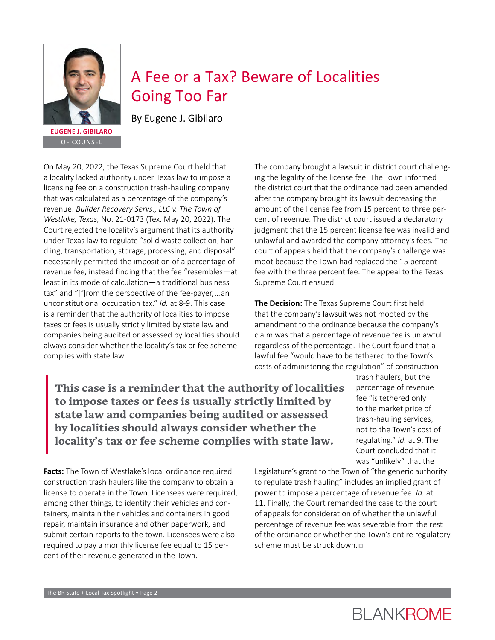<span id="page-2-0"></span>

OF COUNSEL

## A Fee or a Tax? Beware of Localities Going Too Far

[By](https://www.blankrome.com/people/craig-b-fields) [Eugene J. Gibilaro](https://www.blankrome.com/people/eugene-j-gibilaro)

On May 20, 2022, the Texas Supreme Court held that a locality lacked authority under Texas law to impose a licensing fee on a construction trash-hauling company that was calculated as a percentage of the company's revenue. *Builder Recovery Servs., LLC v. The Town of Westlake, Texas,* No. 21-0173 (Tex. May 20, 2022). The Court rejected the locality's argument that its authority under Texas law to regulate "solid waste collection, handling, transportation, storage, processing, and disposal" necessarily permitted the imposition of a percentage of revenue fee, instead finding that the fee "resembles—at least in its mode of calculation—a traditional business tax" and "[f]rom the perspective of the fee-payer, … an unconstitutional occupation tax." *Id.* at 8-9. This case is a reminder that the authority of localities to impose taxes or fees is usually strictly limited by state law and companies being audited or assessed by localities should always consider whether the locality's tax or fee scheme complies with state law.

The company brought a lawsuit in district court challenging the legality of the license fee. The Town informed the district court that the ordinance had been amended after the company brought its lawsuit decreasing the amount of the license fee from 15 percent to three percent of revenue. The district court issued a declaratory judgment that the 15 percent license fee was invalid and unlawful and awarded the company attorney's fees. The court of appeals held that the company's challenge was moot because the Town had replaced the 15 percent fee with the three percent fee. The appeal to the Texas Supreme Court ensued.

**The Decision:** The Texas Supreme Court first held that the company's lawsuit was not mooted by the amendment to the ordinance because the company's claim was that a percentage of revenue fee is unlawful regardless of the percentage. The Court found that a lawful fee "would have to be tethered to the Town's costs of administering the regulation" of construction

**This case is a reminder that the authority of localities to impose taxes or fees is usually strictly limited by state law and companies being audited or assessed by localities should always consider whether the locality's tax or fee scheme complies with state law.**

trash haulers, but the percentage of revenue fee "is tethered only to the market price of trash-hauling services, not to the Town's cost of regulating." *Id.* at 9. The Court concluded that it was "unlikely" that the

**Facts:** The Town of Westlake's local ordinance required construction trash haulers like the company to obtain a license to operate in the Town. Licensees were required, among other things, to identify their vehicles and containers, maintain their vehicles and containers in good repair, maintain insurance and other paperwork, and submit certain reports to the town. Licensees were also required to pay a monthly license fee equal to 15 percent of their revenue generated in the Town.

Legislature's grant to the Town of "the generic authority to regulate trash hauling" includes an implied grant of power to impose a percentage of revenue fee. *Id.* at 11. Finally, the Court remanded the case to the court of appeals for consideration of whether the unlawful percentage of revenue fee was severable from the rest of the ordinance or whether the Town's entire regulatory scheme must be struck down. $\nabla$ 

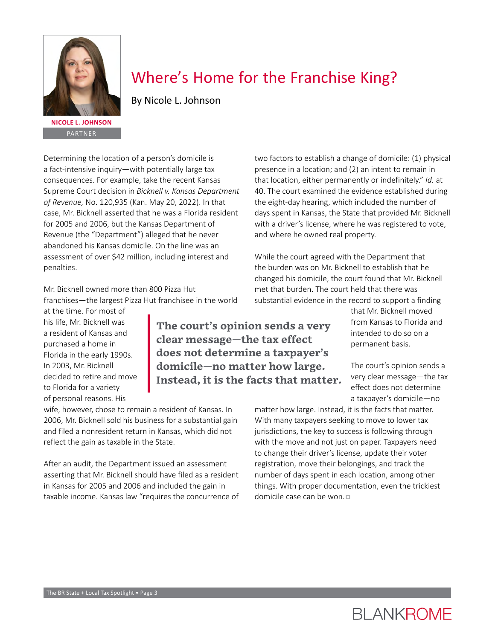<span id="page-3-0"></span>

PARTNER

## Where's Home for the Franchise King?

[By Nicole L. Johnson](https://www.blankrome.com/people/nicole-l-johnson)

Determining the location of a person's domicile is a fact-intensive inquiry—with potentially large tax consequences. For example, take the recent Kansas Supreme Court decision in *Bicknell v. Kansas Department of Revenue,* No. 120,935 (Kan. May 20, 2022). In that case, Mr. Bicknell asserted that he was a Florida resident for 2005 and 2006, but the Kansas Department of Revenue (the "Department") alleged that he never abandoned his Kansas domicile. On the line was an assessment of over \$42 million, including interest and penalties.

Mr. Bicknell owned more than 800 Pizza Hut franchises—the largest Pizza Hut franchisee in the world

at the time. For most of his life, Mr. Bicknell was a resident of Kansas and purchased a home in Florida in the early 1990s. In 2003, Mr. Bicknell decided to retire and move to Florida for a variety of personal reasons. His

**The court's opinion sends a very clear message—the tax effect does not determine a taxpayer's domicile—no matter how large. Instead, it is the facts that matter.**

wife, however, chose to remain a resident of Kansas. In 2006, Mr. Bicknell sold his business for a substantial gain and filed a nonresident return in Kansas, which did not reflect the gain as taxable in the State.

After an audit, the Department issued an assessment asserting that Mr. Bicknell should have filed as a resident in Kansas for 2005 and 2006 and included the gain in taxable income. Kansas law "requires the concurrence of two factors to establish a change of domicile: (1) physical presence in a location; and (2) an intent to remain in that location, either permanently or indefinitely." *Id.* at 40. The court examined the evidence established during the eight-day hearing, which included the number of days spent in Kansas, the State that provided Mr. Bicknell with a driver's license, where he was registered to vote, and where he owned real property.

While the court agreed with the Department that the burden was on Mr. Bicknell to establish that he changed his domicile, the court found that Mr. Bicknell met that burden. The court held that there was substantial evidence in the record to support a finding

> that Mr. Bicknell moved from Kansas to Florida and intended to do so on a permanent basis.

The court's opinion sends a very clear message—the tax effect does not determine a taxpayer's domicile—no

matter how large. Instead, it is the facts that matter. With many taxpayers seeking to move to lower tax jurisdictions, the key to success is following through with the move and not just on paper. Taxpayers need to change their driver's license, update their voter registration, move their belongings, and track the number of days spent in each location, among other things. With proper documentation, even the trickiest domicile case can be won. <sup>p</sup>

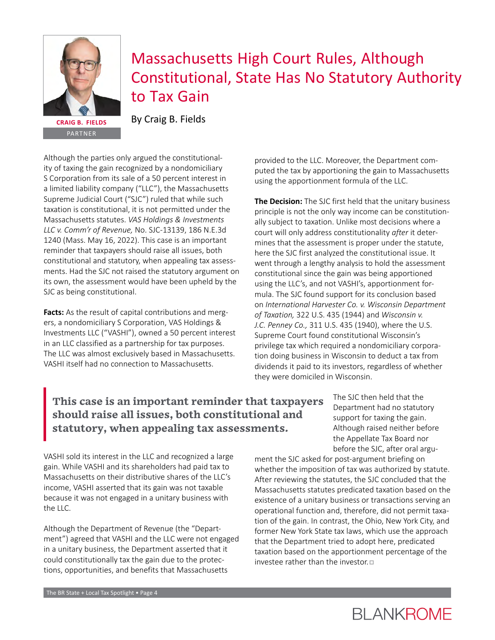<span id="page-4-0"></span>

## Massachusetts High Court Rules, Although Constitutional, State Has No Statutory Authority to Tax Gain

[By](https://www.blankrome.com/people/eugene-j-gibilaro) [Craig B. Fields](https://www.blankrome.com/people/craig-b-fields)

PARTNER

Although the parties only argued the constitutionality of taxing the gain recognized by a nondomiciliary S Corporation from its sale of a 50 percent interest in a limited liability company ("LLC"), the Massachusetts Supreme Judicial Court ("SJC") ruled that while such taxation is constitutional, it is not permitted under the Massachusetts statutes. *VAS Holdings & Investments LLC v. Comm'r of Revenue,* No. SJC-13139, 186 N.E.3d 1240 (Mass. May 16, 2022). This case is an important reminder that taxpayers should raise all issues, both constitutional and statutory, when appealing tax assessments. Had the SJC not raised the statutory argument on its own, the assessment would have been upheld by the SJC as being constitutional.

**Facts:** As the result of capital contributions and mergers, a nondomiciliary S Corporation, VAS Holdings & Investments LLC ("VASHI"), owned a 50 percent interest in an LLC classified as a partnership for tax purposes. The LLC was almost exclusively based in Massachusetts. VASHI itself had no connection to Massachusetts.

provided to the LLC. Moreover, the Department computed the tax by apportioning the gain to Massachusetts using the apportionment formula of the LLC.

**The Decision:** The SJC first held that the unitary business principle is not the only way income can be constitutionally subject to taxation. Unlike most decisions where a court will only address constitutionality *after* it determines that the assessment is proper under the statute, here the SJC first analyzed the constitutional issue. It went through a lengthy analysis to hold the assessment constitutional since the gain was being apportioned using the LLC's, and not VASHI's, apportionment formula. The SJC found support for its conclusion based on *International Harvester Co. v. Wisconsin Department of Taxation,* 322 U.S. 435 (1944) and *Wisconsin v. J.C. Penney Co.,* 311 U.S. 435 (1940), where the U.S. Supreme Court found constitutional Wisconsin's privilege tax which required a nondomiciliary corporation doing business in Wisconsin to deduct a tax from dividends it paid to its investors, regardless of whether they were domiciled in Wisconsin.

### **This case is an important reminder that taxpayers should raise all issues, both constitutional and statutory, when appealing tax assessments.**

VASHI sold its interest in the LLC and recognized a large gain. While VASHI and its shareholders had paid tax to Massachusetts on their distributive shares of the LLC's income, VASHI asserted that its gain was not taxable because it was not engaged in a unitary business with the LLC.

Although the Department of Revenue (the "Department") agreed that VASHI and the LLC were not engaged in a unitary business, the Department asserted that it could constitutionally tax the gain due to the protections, opportunities, and benefits that Massachusetts

The SJC then held that the Department had no statutory support for taxing the gain. Although raised neither before the Appellate Tax Board nor before the SJC, after oral argu-

ment the SJC asked for post-argument briefing on whether the imposition of tax was authorized by statute. After reviewing the statutes, the SJC concluded that the Massachusetts statutes predicated taxation based on the existence of a unitary business or transactions serving an operational function and, therefore, did not permit taxation of the gain. In contrast, the Ohio, New York City, and former New York State tax laws, which use the approach that the Department tried to adopt here, predicated taxation based on the apportionment percentage of the investee rather than the investor. $\Box$